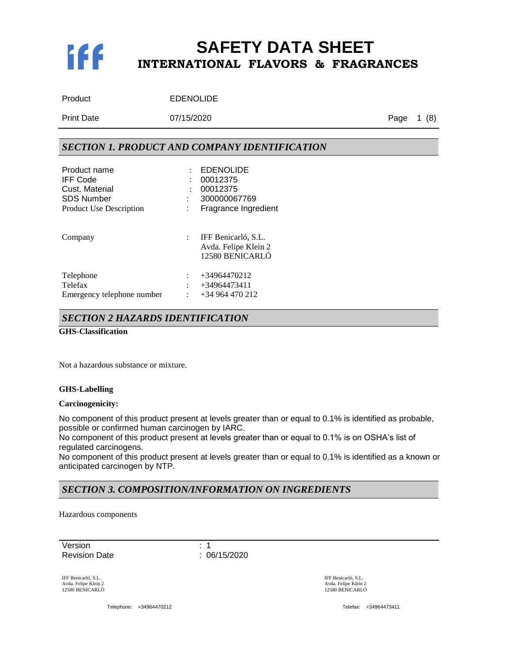

| Product    | <b>EDENOLIDE</b> |
|------------|------------------|
| Print Date | 07/15/2020       |

Page 1 (8)

### *SECTION 1. PRODUCT AND COMPANY IDENTIFICATION*

| Product name<br><b>IFF Code</b><br>Cust. Material<br><b>SDS Number</b><br><b>Product Use Description</b> | $\ddot{\cdot}$            | <b>EDENOLIDE</b><br>00012375<br>00012375<br>300000067769<br>Fragrance Ingredient |
|----------------------------------------------------------------------------------------------------------|---------------------------|----------------------------------------------------------------------------------|
| Company                                                                                                  | $\mathbb{R}^{\mathbb{Z}}$ | IFF Benicarló, S.L.<br>Avda. Felipe Klein 2<br>12580 BENICARLÓ                   |
| Telephone                                                                                                |                           | +34964470212                                                                     |
| Telefax                                                                                                  |                           | +34964473411                                                                     |
| Emergency telephone number                                                                               | $\ddot{\phantom{a}}$      | $+34964470212$                                                                   |

#### *SECTION 2 HAZARDS IDENTIFICATION*

**GHS-Classification**

Not a hazardous substance or mixture.

#### **GHS-Labelling**

#### **Carcinogenicity:**

No component of this product present at levels greater than or equal to 0.1% is identified as probable, possible or confirmed human carcinogen by IARC.

No component of this product present at levels greater than or equal to 0.1% is on OSHA's list of regulated carcinogens.

No component of this product present at levels greater than or equal to 0.1% is identified as a known or anticipated carcinogen by NTP.

### *SECTION 3. COMPOSITION/INFORMATION ON INGREDIENTS*

Hazardous components

Version : 1 Revision Date : 06/15/2020

IFF Benicarló, S.L. Avda. Felipe Klein 2 12580 BENICARLÓ

Telephone: +34964470212 Telefax: +34964473411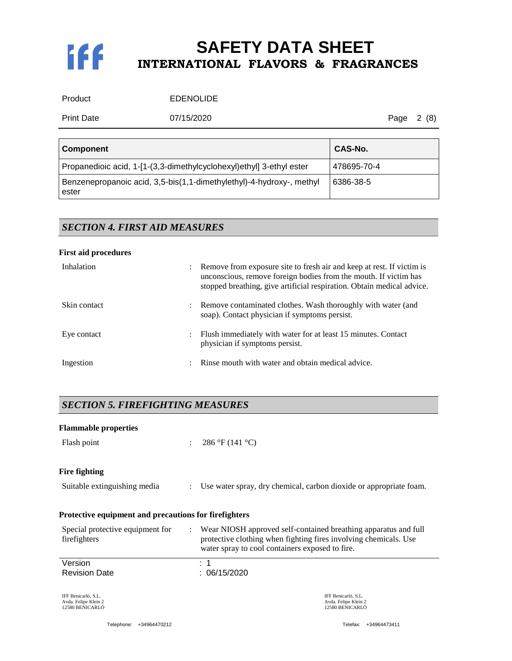

Product **EDENOLIDE** 

Print Date **07/15/2020 Principally Page 2 (8)** 

| <b>Component</b>                                                              | CAS-No.     |
|-------------------------------------------------------------------------------|-------------|
| Propanedioic acid, 1-[1-(3,3-dimethylcyclohexyl)ethyl] 3-ethyl ester          | 478695-70-4 |
| Benzenepropanoic acid, 3,5-bis(1,1-dimethylethyl)-4-hydroxy-, methyl<br>ester | 6386-38-5   |

# *SECTION 4. FIRST AID MEASURES*

#### **First aid procedures**

| Inhalation   | $\ddot{\phantom{0}}$ | Remove from exposure site to fresh air and keep at rest. If victim is<br>unconscious, remove foreign bodies from the mouth. If victim has<br>stopped breathing, give artificial respiration. Obtain medical advice. |
|--------------|----------------------|---------------------------------------------------------------------------------------------------------------------------------------------------------------------------------------------------------------------|
| Skin contact | $\ddot{\phantom{a}}$ | Remove contaminated clothes. Wash thoroughly with water (and<br>soap). Contact physician if symptoms persist.                                                                                                       |
| Eye contact  |                      | Flush immediately with water for at least 15 minutes. Contact<br>physician if symptoms persist.                                                                                                                     |
| Ingestion    | $\bullet$            | Rinse mouth with water and obtain medical advice.                                                                                                                                                                   |

# *SECTION 5. FIREFIGHTING MEASURES*

| <b>Flammable properties</b>                                    |                      |                                                                                                                                                                                        |  |
|----------------------------------------------------------------|----------------------|----------------------------------------------------------------------------------------------------------------------------------------------------------------------------------------|--|
| Flash point                                                    | $\ddot{\phantom{a}}$ | 286 °F (141 °C)                                                                                                                                                                        |  |
| Fire fighting                                                  |                      |                                                                                                                                                                                        |  |
| Suitable extinguishing media                                   | $\ddot{\phantom{a}}$ | Use water spray, dry chemical, carbon dioxide or appropriate foam.                                                                                                                     |  |
| Protective equipment and precautions for firefighters          |                      |                                                                                                                                                                                        |  |
| Special protective equipment for<br>firefighters               | $\ddot{\phantom{a}}$ | Wear NIOSH approved self-contained breathing apparatus and full<br>protective clothing when fighting fires involving chemicals. Use<br>water spray to cool containers exposed to fire. |  |
| Version                                                        |                      | . 1                                                                                                                                                                                    |  |
| <b>Revision Date</b>                                           |                      | : 06/15/2020                                                                                                                                                                           |  |
| IFF Benicarló, S.L.<br>Avda. Felipe Klein 2<br>12580 BENICARLÓ |                      | IFF Benicarló, S.L.<br>Avda. Felipe Klein 2<br>12580 BENICARLÓ                                                                                                                         |  |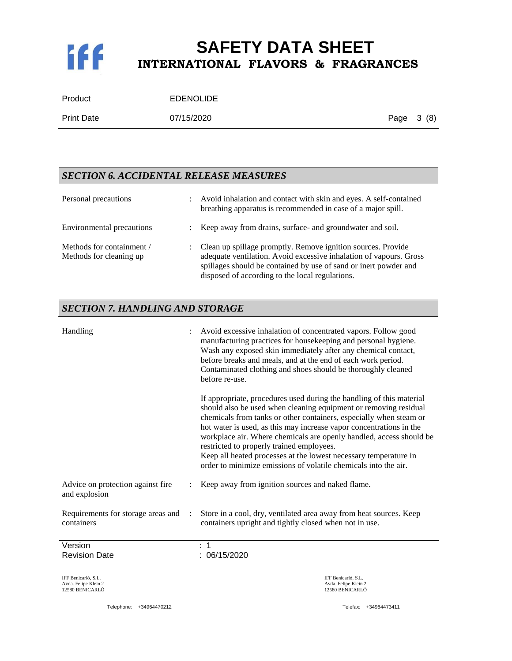

| Product           | <b>EDENOLIDE</b> |            |  |
|-------------------|------------------|------------|--|
| <b>Print Date</b> | 07/15/2020       | Page 3 (8) |  |

### *SECTION 6. ACCIDENTAL RELEASE MEASURES*

| Personal precautions                                 | $\ddot{\phantom{a}}$ | Avoid inhalation and contact with skin and eyes. A self-contained<br>breathing apparatus is recommended in case of a major spill.                                                                                                                           |
|------------------------------------------------------|----------------------|-------------------------------------------------------------------------------------------------------------------------------------------------------------------------------------------------------------------------------------------------------------|
| Environmental precautions                            | $\mathbb{R}^+$       | Keep away from drains, surface- and groundwater and soil.                                                                                                                                                                                                   |
| Methods for containment /<br>Methods for cleaning up |                      | : Clean up spillage promptly. Remove ignition sources. Provide<br>adequate ventilation. Avoid excessive inhalation of vapours. Gross<br>spillages should be contained by use of sand or inert powder and<br>disposed of according to the local regulations. |

### *SECTION 7. HANDLING AND STORAGE*

| Handling                                                       | Avoid excessive inhalation of concentrated vapors. Follow good<br>manufacturing practices for housekeeping and personal hygiene.<br>Wash any exposed skin immediately after any chemical contact,<br>before breaks and meals, and at the end of each work period.<br>Contaminated clothing and shoes should be thoroughly cleaned<br>before re-use.<br>If appropriate, procedures used during the handling of this material<br>should also be used when cleaning equipment or removing residual<br>chemicals from tanks or other containers, especially when steam or<br>hot water is used, as this may increase vapor concentrations in the<br>workplace air. Where chemicals are openly handled, access should be<br>restricted to properly trained employees.<br>Keep all heated processes at the lowest necessary temperature in<br>order to minimize emissions of volatile chemicals into the air. |                                                                |
|----------------------------------------------------------------|---------------------------------------------------------------------------------------------------------------------------------------------------------------------------------------------------------------------------------------------------------------------------------------------------------------------------------------------------------------------------------------------------------------------------------------------------------------------------------------------------------------------------------------------------------------------------------------------------------------------------------------------------------------------------------------------------------------------------------------------------------------------------------------------------------------------------------------------------------------------------------------------------------|----------------------------------------------------------------|
| Advice on protection against fire.<br>and explosion            | Keep away from ignition sources and naked flame.                                                                                                                                                                                                                                                                                                                                                                                                                                                                                                                                                                                                                                                                                                                                                                                                                                                        |                                                                |
| Requirements for storage areas and<br>containers               | Store in a cool, dry, ventilated area away from heat sources. Keep<br>containers upright and tightly closed when not in use.                                                                                                                                                                                                                                                                                                                                                                                                                                                                                                                                                                                                                                                                                                                                                                            |                                                                |
| Version<br><b>Revision Date</b>                                | 1<br>: 06/15/2020                                                                                                                                                                                                                                                                                                                                                                                                                                                                                                                                                                                                                                                                                                                                                                                                                                                                                       |                                                                |
| IFF Benicarló, S.L.<br>Avda. Felipe Klein 2<br>12580 BENICARLÓ |                                                                                                                                                                                                                                                                                                                                                                                                                                                                                                                                                                                                                                                                                                                                                                                                                                                                                                         | IFF Benicarló, S.L.<br>Avda. Felipe Klein 2<br>12580 BENICARLÓ |
| Telephone: +34964470212                                        |                                                                                                                                                                                                                                                                                                                                                                                                                                                                                                                                                                                                                                                                                                                                                                                                                                                                                                         | Telefax: +34964473411                                          |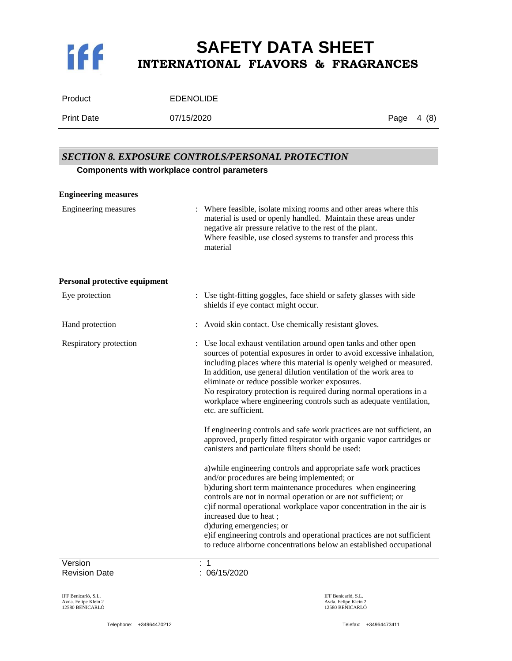# K

# **SAFETY DATA SHEET INTERNATIONAL FLAVORS & FRAGRANCES**

| Product    | <b>EDENOLIDE</b> |
|------------|------------------|
| Print Date | 07/15/2020       |

0 **Page 4 (8)** 

# Version : 1 *SECTION 8. EXPOSURE CONTROLS/PERSONAL PROTECTION* **Components with workplace control parameters Engineering measures** Engineering measures : Where feasible, isolate mixing rooms and other areas where this material is used or openly handled. Maintain these areas under negative air pressure relative to the rest of the plant. Where feasible, use closed systems to transfer and process this material **Personal protective equipment** Eye protection : Use tight-fitting goggles, face shield or safety glasses with side shields if eye contact might occur. Hand protection : Avoid skin contact. Use chemically resistant gloves. Respiratory protection : Use local exhaust ventilation around open tanks and other open sources of potential exposures in order to avoid excessive inhalation, including places where this material is openly weighed or measured. In addition, use general dilution ventilation of the work area to eliminate or reduce possible worker exposures. No respiratory protection is required during normal operations in a workplace where engineering controls such as adequate ventilation, etc. are sufficient. If engineering controls and safe work practices are not sufficient, an approved, properly fitted respirator with organic vapor cartridges or canisters and particulate filters should be used: a)while engineering controls and appropriate safe work practices and/or procedures are being implemented; or b)during short term maintenance procedures when engineering controls are not in normal operation or are not sufficient; or c)if normal operational workplace vapor concentration in the air is increased due to heat ; d)during emergencies; or e)if engineering controls and operational practices are not sufficient to reduce airborne concentrations below an established occupational

Revision Date : 06/15/2020

IFF Benicarló, S.L. Avda. Felipe Klein 2 12580 BENICARLÓ

Telephone: +34964470212 Telefax: +34964473411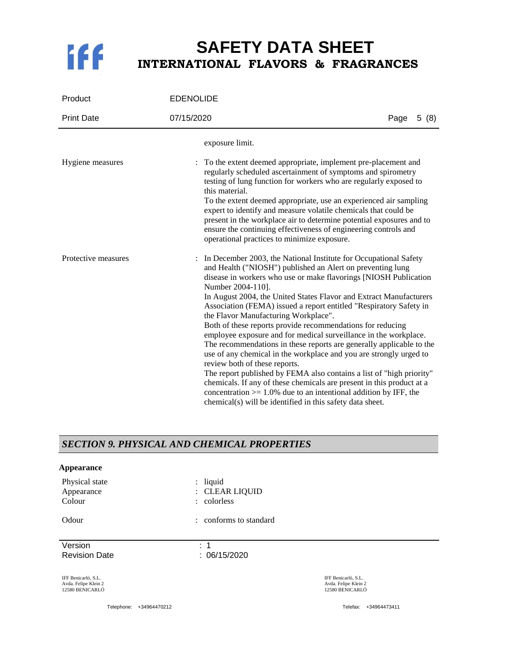

| Product             | <b>EDENOLIDE</b>                                                                                                                                                                                                                                                                                                                                                                                                                                                                                                                                                                                                                                                                                                                                                                                                                                                                                                                                                                                                   |      |      |
|---------------------|--------------------------------------------------------------------------------------------------------------------------------------------------------------------------------------------------------------------------------------------------------------------------------------------------------------------------------------------------------------------------------------------------------------------------------------------------------------------------------------------------------------------------------------------------------------------------------------------------------------------------------------------------------------------------------------------------------------------------------------------------------------------------------------------------------------------------------------------------------------------------------------------------------------------------------------------------------------------------------------------------------------------|------|------|
| <b>Print Date</b>   | 07/15/2020                                                                                                                                                                                                                                                                                                                                                                                                                                                                                                                                                                                                                                                                                                                                                                                                                                                                                                                                                                                                         | Page | 5(8) |
|                     | exposure limit.                                                                                                                                                                                                                                                                                                                                                                                                                                                                                                                                                                                                                                                                                                                                                                                                                                                                                                                                                                                                    |      |      |
| Hygiene measures    | To the extent deemed appropriate, implement pre-placement and<br>$\ddot{\phantom{a}}$<br>regularly scheduled ascertainment of symptoms and spirometry<br>testing of lung function for workers who are regularly exposed to<br>this material.<br>To the extent deemed appropriate, use an experienced air sampling<br>expert to identify and measure volatile chemicals that could be<br>present in the workplace air to determine potential exposures and to<br>ensure the continuing effectiveness of engineering controls and<br>operational practices to minimize exposure.                                                                                                                                                                                                                                                                                                                                                                                                                                     |      |      |
| Protective measures | In December 2003, the National Institute for Occupational Safety<br>and Health ("NIOSH") published an Alert on preventing lung<br>disease in workers who use or make flavorings [NIOSH Publication<br>Number 2004-110].<br>In August 2004, the United States Flavor and Extract Manufacturers<br>Association (FEMA) issued a report entitled "Respiratory Safety in<br>the Flavor Manufacturing Workplace".<br>Both of these reports provide recommendations for reducing<br>employee exposure and for medical surveillance in the workplace.<br>The recommendations in these reports are generally applicable to the<br>use of any chemical in the workplace and you are strongly urged to<br>review both of these reports.<br>The report published by FEMA also contains a list of "high priority"<br>chemicals. If any of these chemicals are present in this product at a<br>concentration $> = 1.0\%$ due to an intentional addition by IFF, the<br>chemical(s) will be identified in this safety data sheet. |      |      |

### *SECTION 9. PHYSICAL AND CHEMICAL PROPERTIES*

#### **Appearance**

| Physical state       | $:$ liquid             |
|----------------------|------------------------|
| Appearance           | : CLEAR LIQUID         |
| Colour               | : colorless            |
| Odour                | : conforms to standard |
| Version              | : 1                    |
| <b>Revision Date</b> | : 06/15/2020           |

IFF Benicarló, S.L. Avda. Felipe Klein 2 12580 BENICARLÓ

Telephone: +34964470212 Telefax: +34964473411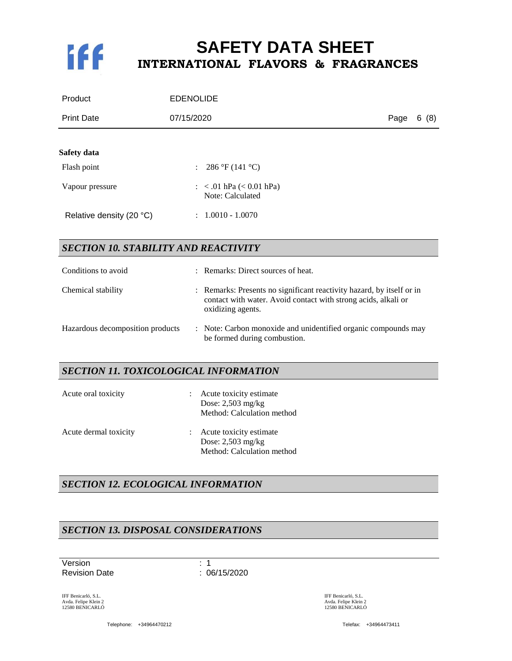

| Product                                     | <b>EDENOLIDE</b>                                                                                                                                             |      |      |
|---------------------------------------------|--------------------------------------------------------------------------------------------------------------------------------------------------------------|------|------|
| <b>Print Date</b>                           | 07/15/2020                                                                                                                                                   | Page | 6(8) |
| Safety data                                 |                                                                                                                                                              |      |      |
|                                             |                                                                                                                                                              |      |      |
| Flash point                                 | 286 °F (141 °C)<br>$\mathbb{R}^{\mathbb{Z}}$                                                                                                                 |      |      |
| Vapour pressure                             | : $< .01$ hPa $(< 0.01$ hPa)<br>Note: Calculated                                                                                                             |      |      |
| Relative density (20 °C)                    | $1.0010 - 1.0070$<br>$\mathcal{L}$                                                                                                                           |      |      |
| <b>SECTION 10. STABILITY AND REACTIVITY</b> |                                                                                                                                                              |      |      |
| Conditions to avoid                         | Remarks: Direct sources of heat.                                                                                                                             |      |      |
| Chemical stability                          | : Remarks: Presents no significant reactivity hazard, by itself or in<br>contact with water. Avoid contact with strong acids, alkali or<br>oxidizing agents. |      |      |
| Hazardous decomposition products            | : Note: Carbon monoxide and unidentified organic compounds may<br>be formed during combustion.                                                               |      |      |
| SECTION 11. TOXICOLOGICAL INFORMATION       |                                                                                                                                                              |      |      |
| Acute oral toxicity                         | Acute toxicity estimate                                                                                                                                      |      |      |

|                       | Dose: $2,503$ mg/kg<br>Method: Calculation method                              |
|-----------------------|--------------------------------------------------------------------------------|
| Acute dermal toxicity | : Acute toxicity estimate<br>Dose: $2,503$ mg/kg<br>Method: Calculation method |

# *SECTION 12. ECOLOGICAL INFORMATION*

# *SECTION 13. DISPOSAL CONSIDERATIONS*

Version : 1 Revision Date : 06/15/2020

IFF Benicarló, S.L. Avda. Felipe Klein 2 12580 BENICARLÓ

Telephone: +34964470212 Telefax: +34964473411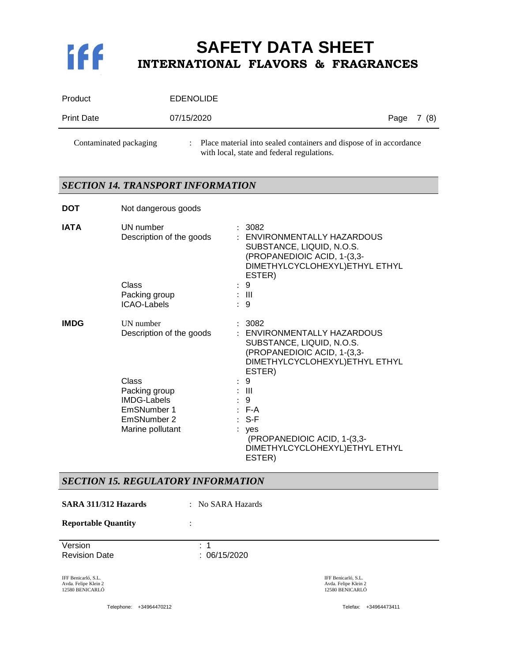

| Product           | <b>EDENOLIDE</b> |            |  |
|-------------------|------------------|------------|--|
| <b>Print Date</b> | 07/15/2020       | Page 7 (8) |  |
|                   |                  |            |  |

Contaminated packaging : Place material into sealed containers and dispose of in accordance with local, state and federal regulations.

# *SECTION 14. TRANSPORT INFORMATION*

| <b>DOT</b>  | Not dangerous goods                                                                            |                                                                                                                                                |
|-------------|------------------------------------------------------------------------------------------------|------------------------------------------------------------------------------------------------------------------------------------------------|
| <b>IATA</b> | UN number<br>Description of the goods                                                          | : 3082<br>: ENVIRONMENTALLY HAZARDOUS<br>SUBSTANCE, LIQUID, N.O.S.<br>(PROPANEDIOIC ACID, 1-(3,3-<br>DIMETHYLCYCLOHEXYL) ETHYL ETHYL<br>ESTER) |
|             | Class<br>Packing group<br><b>ICAO-Labels</b>                                                   | $\therefore$ 9<br>$\pm$ III<br>:9                                                                                                              |
| <b>IMDG</b> | <b>UN</b> number<br>Description of the goods                                                   | : 3082<br>ENVIRONMENTALLY HAZARDOUS<br>SUBSTANCE, LIQUID, N.O.S.<br>(PROPANEDIOIC ACID, 1-(3,3-<br>DIMETHYLCYCLOHEXYL) ETHYL ETHYL<br>ESTER)   |
|             | Class<br>Packing group<br><b>IMDG-Labels</b><br>EmSNumber 1<br>EmSNumber 2<br>Marine pollutant | : 9<br>$\pm$ 111<br>: 9<br>$E - A$<br>$: S-F$<br>$:$ yes<br>(PROPANEDIOIC ACID, 1-(3,3-<br>DIMETHYLCYCLOHEXYL)ETHYL ETHYL<br>ESTER)            |

### *SECTION 15. REGULATORY INFORMATION*

Version : 1 Revision Date : 06/15/2020 IFF Benicarló, S.L. Avda. Felipe Klein 2 12580 BENICARLÓ IFF Benicarló, S.L. Avda. Felipe Klein 2 12580 BENICARLÓ **SARA 311/312 Hazards** : No SARA Hazards **Reportable Quantity** :

Telephone: +34964470212 Telefax: +34964473411